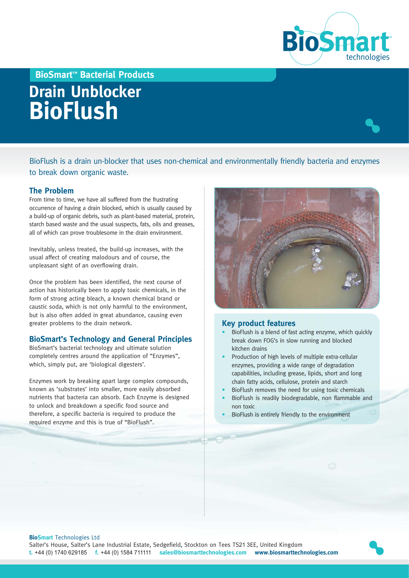

**BioSmart™ Bacterial Products**

# **Drain Unblocker BioFlush**

BioFlush is a drain un-blocker that uses non-chemical and environmentally friendly bacteria and enzymes to break down organic waste.

#### **The Problem**

From time to time, we have all suffered from the frustrating occurrence of having a drain blocked, which is usually caused by a build-up of organic debris, such as plant-based material, protein, starch based waste and the usual suspects, fats, oils and greases, all of which can prove troublesome in the drain environment.

Inevitably, unless treated, the build-up increases, with the usual affect of creating malodours and of course, the unpleasant sight of an overflowing drain.

Once the problem has been identified, the next course of action has historically been to apply toxic chemicals, in the form of strong acting bleach, a known chemical brand or caustic soda, which is not only harmful to the environment, but is also often added in great abundance, causing even greater problems to the drain network.

## **BioSmart's Technology and General Principles**

BioSmart's bacterial technology and ultimate solution completely centres around the application of "Enzymes", which, simply put, are 'biological digesters'.

Enzymes work by breaking apart large complex compounds, known as 'substrates' into smaller, more easily absorbed nutrients that bacteria can absorb. Each Enzyme is designed to unlock and breakdown a specific food source and therefore, a specific bacteria is required to produce the required enzyme and this is true of "BioFlush".



#### **Key product features**

- BioFlush is a blend of fast acting enzyme, which quickly break down FOG's in slow running and blocked kitchen drains
- Production of high levels of multiple extra-cellular enzymes, providing a wide range of degradation capabilities, including grease, lipids, short and long chain fatty acids, cellulose, protein and starch
- BioFlush removes the need for using toxic chemicals
- BioFlush is readily biodegradable, non flammable and non toxic
- BioFlush is entirely friendly to the environment